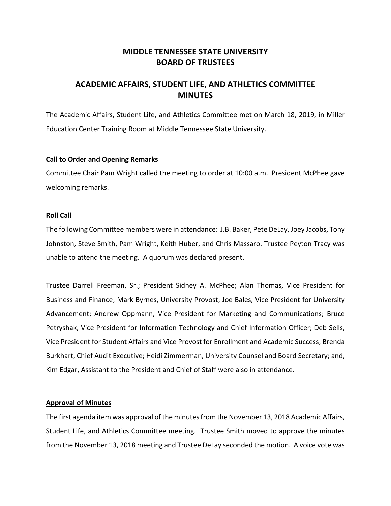# **MIDDLE TENNESSEE STATE UNIVERSITY BOARD OF TRUSTEES**

# **ACADEMIC AFFAIRS, STUDENT LIFE, AND ATHLETICS COMMITTEE MINUTES**

The Academic Affairs, Student Life, and Athletics Committee met on March 18, 2019, in Miller Education Center Training Room at Middle Tennessee State University.

## **Call to Order and Opening Remarks**

Committee Chair Pam Wright called the meeting to order at 10:00 a.m. President McPhee gave welcoming remarks.

## **Roll Call**

The following Committee members were in attendance: J.B. Baker, Pete DeLay, Joey Jacobs, Tony Johnston, Steve Smith, Pam Wright, Keith Huber, and Chris Massaro. Trustee Peyton Tracy was unable to attend the meeting. A quorum was declared present.

Trustee Darrell Freeman, Sr.; President Sidney A. McPhee; Alan Thomas, Vice President for Business and Finance; Mark Byrnes, University Provost; Joe Bales, Vice President for University Advancement; Andrew Oppmann, Vice President for Marketing and Communications; Bruce Petryshak, Vice President for Information Technology and Chief Information Officer; Deb Sells, Vice President for Student Affairs and Vice Provost for Enrollment and Academic Success; Brenda Burkhart, Chief Audit Executive; Heidi Zimmerman, University Counsel and Board Secretary; and, Kim Edgar, Assistant to the President and Chief of Staff were also in attendance.

# **Approval of Minutes**

The first agenda item was approval of the minutes from the November 13, 2018 Academic Affairs, Student Life, and Athletics Committee meeting. Trustee Smith moved to approve the minutes from the November 13, 2018 meeting and Trustee DeLay seconded the motion. A voice vote was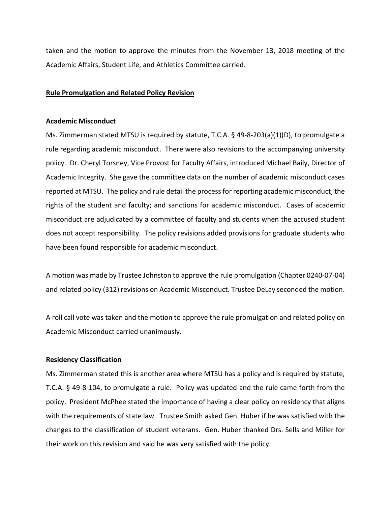taken and the motion to approve the minutes from the November 13, 2018 meeting of the Academic Affairs, Student Life, and Athletics Committee carried.

## **Rule Promulgation and Related Policy Revision**

#### **Academic Misconduct**

Ms. Zimmerman stated MTSU is required by statute, T.C.A. § 49-8-203(a)(1)(D), to promulgate a rule regarding academic misconduct. There were also revisions to the accompanying university policy. Dr. Cheryl Torsney, Vice Provost for Faculty Affairs, introduced Michael Baily, Director of Academic Integrity. She gave the committee data on the number of academic misconduct cases reported at MTSU. The policy and rule detail the process for reporting academic misconduct; the rights of the student and faculty; and sanctions for academic misconduct. Cases of academic misconduct are adjudicated by a committee of faculty and students when the accused student does not accept responsibility. The policy revisions added provisions for graduate students who have been found responsible for academic misconduct.

A motion was made by Trustee Johnston to approve the rule promulgation (Chapter 0240-07-04) and related policy (312) revisions on Academic Misconduct. Trustee DeLay seconded the motion.

A roll call vote was taken and the motion to approve the rule promulgation and related policy on Academic Misconduct carried unanimously.

#### **Residency Classification**

Ms. Zimmerman stated this is another area where MTSU has a policy and is required by statute, T.C.A. § 49-8-104, to promulgate a rule. Policy was updated and the rule came forth from the policy. President McPhee stated the importance of having a clear policy on residency that aligns with the requirements of state law. Trustee Smith asked Gen. Huber if he was satisfied with the changes to the classification of student veterans. Gen. Huber thanked Drs. Sells and Miller for their work on this revision and said he was very satisfied with the policy.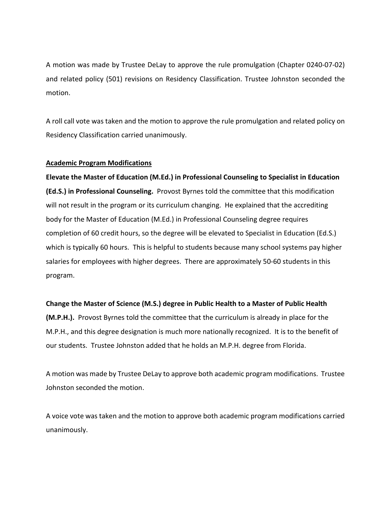A motion was made by Trustee DeLay to approve the rule promulgation (Chapter 0240-07-02) and related policy (501) revisions on Residency Classification. Trustee Johnston seconded the motion.

A roll call vote was taken and the motion to approve the rule promulgation and related policy on Residency Classification carried unanimously.

# **Academic Program Modifications**

**Elevate the Master of Education (M.Ed.) in Professional Counseling to Specialist in Education (Ed.S.) in Professional Counseling.** Provost Byrnes told the committee that this modification will not result in the program or its curriculum changing. He explained that the accrediting body for the Master of Education (M.Ed.) in Professional Counseling degree requires completion of 60 credit hours, so the degree will be elevated to Specialist in Education (Ed.S.) which is typically 60 hours. This is helpful to students because many school systems pay higher salaries for employees with higher degrees. There are approximately 50-60 students in this program.

# **Change the Master of Science (M.S.) degree in Public Health to a Master of Public Health**

**(M.P.H.).** Provost Byrnes told the committee that the curriculum is already in place for the M.P.H., and this degree designation is much more nationally recognized. It is to the benefit of our students. Trustee Johnston added that he holds an M.P.H. degree from Florida.

A motion was made by Trustee DeLay to approve both academic program modifications. Trustee Johnston seconded the motion.

A voice vote was taken and the motion to approve both academic program modifications carried unanimously.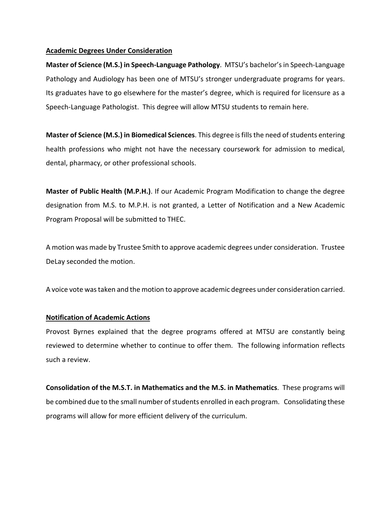## **Academic Degrees Under Consideration**

**Master of Science (M.S.) in Speech-Language Pathology**. MTSU's bachelor's in Speech-Language Pathology and Audiology has been one of MTSU's stronger undergraduate programs for years. Its graduates have to go elsewhere for the master's degree, which is required for licensure as a Speech-Language Pathologist. This degree will allow MTSU students to remain here.

**Master of Science (M.S.) in Biomedical Sciences**. This degree is fills the need of students entering health professions who might not have the necessary coursework for admission to medical, dental, pharmacy, or other professional schools.

**Master of Public Health (M.P.H.)**. If our Academic Program Modification to change the degree designation from M.S. to M.P.H. is not granted, a Letter of Notification and a New Academic Program Proposal will be submitted to THEC.

A motion was made by Trustee Smith to approve academic degrees under consideration. Trustee DeLay seconded the motion.

A voice vote was taken and the motion to approve academic degrees under consideration carried.

# **Notification of Academic Actions**

Provost Byrnes explained that the degree programs offered at MTSU are constantly being reviewed to determine whether to continue to offer them. The following information reflects such a review.

**Consolidation of the M.S.T. in Mathematics and the M.S. in Mathematics**. These programs will be combined due to the small number of students enrolled in each program. Consolidating these programs will allow for more efficient delivery of the curriculum.